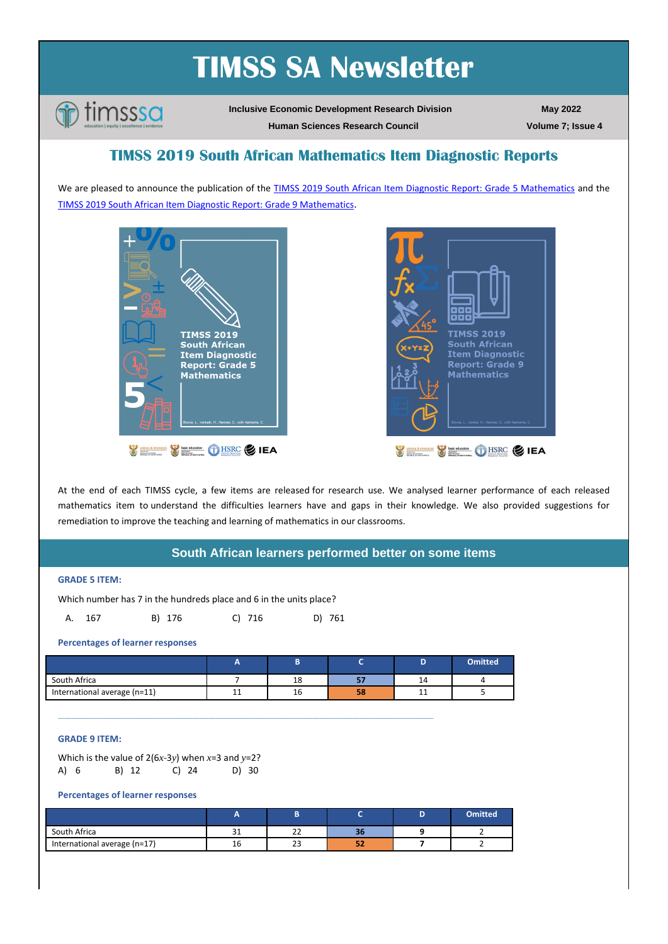# **TIMSS SA Newsletter**



**Inclusive Economic Development Research Division Human Sciences Research Council**

**May 2022 Volume 7; Issue 4**

**TIMSS 2019 South African Mathematics Item Diagnostic Reports**

We are pleased to announce the publication of the TIMSS 2019 South African [Item Diagnostic Report: Grade 5 Mathematics](https://www.timss-sa.org/publication/timss-2019-south-african-item-diagnostic-report-grade-5-mathematics) and the [TIMSS 2019 South African Item Diagnostic Report: Grade 9 Mathematics](https://www.timss-sa.org/publication/timss-2019-south-african-item-diagnostic-report-grade-9-mathematics).





At the end of each TIMSS cycle, a few items are released for research use. We analysed learner performance of each released mathematics item to understand the difficulties learners have and gaps in their knowledge. We also provided suggestions for remediation to improve the teaching and learning of mathematics in our classrooms.

## **South African learners performed better on some items**

### **GRADE 5 ITEM:**

Which number has 7 in the hundreds place and 6 in the units place?

|  |  | A. 167 | B) 176 | $C)$ 716 | D) 761 |
|--|--|--------|--------|----------|--------|
|--|--|--------|--------|----------|--------|

**Percentages of learner responses** 

|                              | - |    |    |    | <b>Omitted</b> |
|------------------------------|---|----|----|----|----------------|
| South Africa                 |   | 18 | -- | Ŧ٢ |                |
| International average (n=11) | ᆠ | 16 | 58 |    |                |

\_\_\_\_\_\_\_\_\_\_\_\_\_\_\_\_\_\_\_\_\_\_\_\_\_\_\_\_\_\_\_\_\_\_\_\_\_\_\_\_\_\_\_\_\_\_\_\_\_\_\_\_\_\_\_\_\_\_\_\_\_\_\_\_\_\_\_\_\_\_\_\_\_\_\_\_\_\_\_\_\_\_\_\_\_\_\_\_\_\_\_\_\_\_\_\_\_\_\_\_\_\_\_\_\_\_\_\_\_\_\_\_

#### **GRADE 9 ITEM:**

Which is the value of 2(6*x*-3*y*) when *x*=3 and *y*=2? A) 6 B) 12 C) 24 D) 30

#### **Percentages of learner responses**

|                              | $\overline{\phantom{a}}$ |             |          | <b>Omitted</b> |
|------------------------------|--------------------------|-------------|----------|----------------|
| South Africa                 | $\sim$<br>⊥ ب            | $\sim$<br>ᅩ | -<br>30  |                |
| International average (n=17) | 16                       | 23          | - -<br>ж |                |